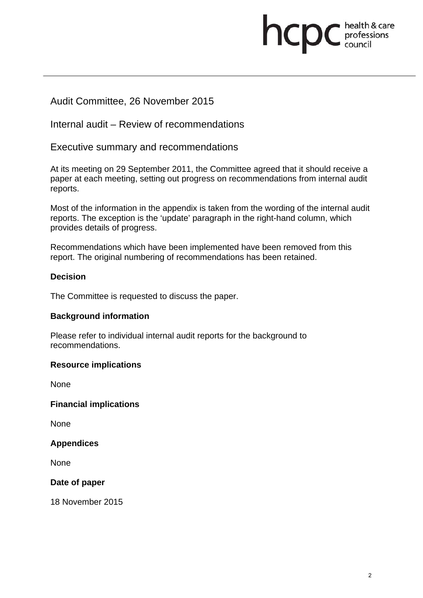# **health & care**

# Audit Committee, 26 November 2015

Internal audit – Review of recommendations

Executive summary and recommendations

At its meeting on 29 September 2011, the Committee agreed that it should receive a paper at each meeting, setting out progress on recommendations from internal audit reports.

Most of the information in the appendix is taken from the wording of the internal audit reports. The exception is the 'update' paragraph in the right-hand column, which provides details of progress.

Recommendations which have been implemented have been removed from this report. The original numbering of recommendations has been retained.

# **Decision**

The Committee is requested to discuss the paper.

# **Background information**

Please refer to individual internal audit reports for the background to recommendations.

# **Resource implications**

None

**Financial implications** 

None

**Appendices** 

None

**Date of paper** 

18 November 2015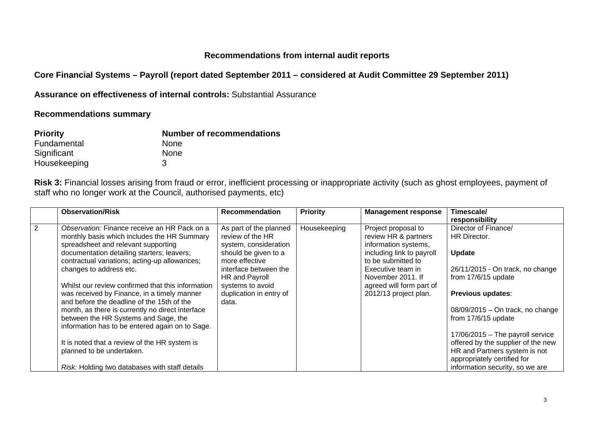#### **Recommendations from internal audit reports**

**Core Financial Systems – Payroll (report dated September 2011 – considered at Audit Committee 29 September 2011)** 

**Assurance on effectiveness of internal controls:** Substantial Assurance

**Recommendations summary** 

| <b>Priority</b> | <b>Number of recommendations</b> |
|-----------------|----------------------------------|
| Fundamental     | <b>None</b>                      |
| Significant     | <b>None</b>                      |
| Housekeeping    | 3                                |

**Risk 3:** Financial losses arising from fraud or error, inefficient processing or inappropriate activity (such as ghost employees, payment of staff who no longer work at the Council, authorised payments, etc)

|   | <b>Observation/Risk</b>                           | <b>Recommendation</b>   | <b>Priority</b> | <b>Management response</b> | Timescale/                         |
|---|---------------------------------------------------|-------------------------|-----------------|----------------------------|------------------------------------|
|   |                                                   |                         |                 |                            | responsibility                     |
| 2 | Observation: Finance receive an HR Pack on a      | As part of the planned  | Housekeeping    | Project proposal to        | Director of Finance/               |
|   | monthly basis which includes the HR Summary       | review of the HR        |                 | review HR & partners       | HR Director.                       |
|   | spreadsheet and relevant supporting               | system, consideration   |                 | information systems,       |                                    |
|   | documentation detailing starters; leavers;        | should be given to a    |                 | including link to payroll  | <b>Update</b>                      |
|   | contractual variations; acting-up allowances;     | more effective          |                 | to be submitted to         |                                    |
|   | changes to address etc.                           | interface between the   |                 | Executive team in          | 26/11/2015 - On track, no change   |
|   |                                                   | HR and Payroll          |                 | November 2011. If          | from 17/6/15 update                |
|   | Whilst our review confirmed that this information | systems to avoid        |                 | agreed will form part of   |                                    |
|   | was received by Finance, in a timely manner       | duplication in entry of |                 | 2012/13 project plan.      | <b>Previous updates:</b>           |
|   | and before the deadline of the 15th of the        | data.                   |                 |                            |                                    |
|   | month, as there is currently no direct interface  |                         |                 |                            | $08/09/2015$ – On track, no change |
|   | between the HR Systems and Sage, the              |                         |                 |                            | from 17/6/15 update                |
|   | information has to be entered again on to Sage.   |                         |                 |                            |                                    |
|   |                                                   |                         |                 |                            | $17/06/2015$ – The payroll service |
|   | It is noted that a review of the HR system is     |                         |                 |                            | offered by the supplier of the new |
|   | planned to be undertaken.                         |                         |                 |                            | HR and Partners system is not      |
|   |                                                   |                         |                 |                            | appropriately certified for        |
|   | Risk: Holding two databases with staff details    |                         |                 |                            | information security, so we are    |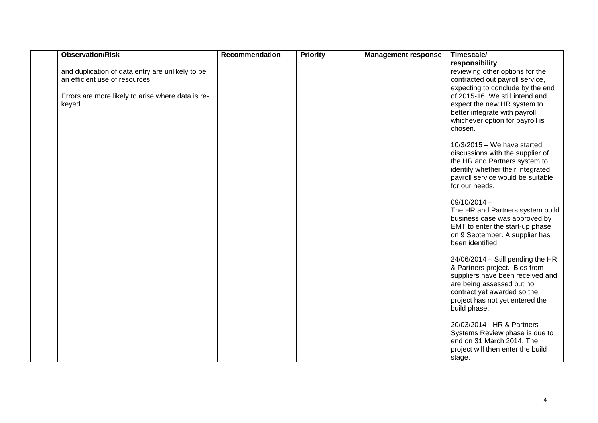| <b>Observation/Risk</b>                                                            | Recommendation | <b>Priority</b> | <b>Management response</b> | Timescale/                                                                                                                                                                                                              |
|------------------------------------------------------------------------------------|----------------|-----------------|----------------------------|-------------------------------------------------------------------------------------------------------------------------------------------------------------------------------------------------------------------------|
|                                                                                    |                |                 |                            | responsibility                                                                                                                                                                                                          |
| and duplication of data entry are unlikely to be<br>an efficient use of resources. |                |                 |                            | reviewing other options for the<br>contracted out payroll service,<br>expecting to conclude by the end                                                                                                                  |
| Errors are more likely to arise where data is re-<br>keyed.                        |                |                 |                            | of 2015-16. We still intend and<br>expect the new HR system to                                                                                                                                                          |
|                                                                                    |                |                 |                            | better integrate with payroll,<br>whichever option for payroll is<br>chosen.                                                                                                                                            |
|                                                                                    |                |                 |                            | $10/3/2015 -$ We have started<br>discussions with the supplier of<br>the HR and Partners system to<br>identify whether their integrated<br>payroll service would be suitable<br>for our needs.                          |
|                                                                                    |                |                 |                            | $09/10/2014 -$<br>The HR and Partners system build<br>business case was approved by<br>EMT to enter the start-up phase<br>on 9 September. A supplier has<br>been identified.                                            |
|                                                                                    |                |                 |                            | $24/06/2014 -$ Still pending the HR<br>& Partners project. Bids from<br>suppliers have been received and<br>are being assessed but no<br>contract yet awarded so the<br>project has not yet entered the<br>build phase. |
|                                                                                    |                |                 |                            | 20/03/2014 - HR & Partners<br>Systems Review phase is due to<br>end on 31 March 2014. The<br>project will then enter the build<br>stage.                                                                                |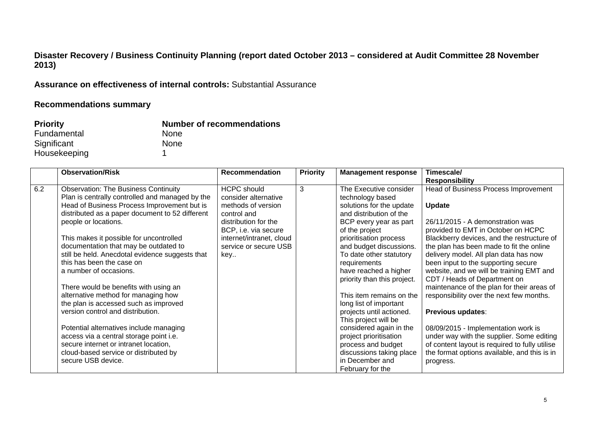# **Disaster Recovery / Business Continuity Planning (report dated October 2013 – considered at Audit Committee 28 November 2013)**

**Assurance on effectiveness of internal controls:** Substantial Assurance

### **Recommendations summary**

| <b>Priority</b> | <b>Number of recommendations</b> |
|-----------------|----------------------------------|
| Fundamental     | <b>None</b>                      |
| Significant     | <b>None</b>                      |
| Housekeeping    |                                  |

|     | <b>Observation/Risk</b>                         | <b>Recommendation</b>    | <b>Priority</b> | <b>Management response</b>  | Timescale/                                     |
|-----|-------------------------------------------------|--------------------------|-----------------|-----------------------------|------------------------------------------------|
|     |                                                 |                          |                 |                             | <b>Responsibility</b>                          |
| 6.2 | <b>Observation: The Business Continuity</b>     | <b>HCPC</b> should       | 3               | The Executive consider      | Head of Business Process Improvement           |
|     | Plan is centrally controlled and managed by the | consider alternative     |                 | technology based            |                                                |
|     | Head of Business Process Improvement but is     | methods of version       |                 | solutions for the update    | <b>Update</b>                                  |
|     | distributed as a paper document to 52 different | control and              |                 | and distribution of the     |                                                |
|     | people or locations.                            | distribution for the     |                 | BCP every year as part      | 26/11/2015 - A demonstration was               |
|     |                                                 | BCP, i.e. via secure     |                 | of the project              | provided to EMT in October on HCPC             |
|     | This makes it possible for uncontrolled         | internet/intranet, cloud |                 | prioritisation process      | Blackberry devices, and the restructure of     |
|     | documentation that may be outdated to           | service or secure USB    |                 | and budget discussions.     | the plan has been made to fit the online       |
|     | still be held. Anecdotal evidence suggests that | key                      |                 | To date other statutory     | delivery model. All plan data has now          |
|     | this has been the case on                       |                          |                 | requirements                | been input to the supporting secure            |
|     | a number of occasions.                          |                          |                 | have reached a higher       | website, and we will be training EMT and       |
|     |                                                 |                          |                 | priority than this project. | CDT / Heads of Department on                   |
|     | There would be benefits with using an           |                          |                 |                             | maintenance of the plan for their areas of     |
|     | alternative method for managing how             |                          |                 | This item remains on the    | responsibility over the next few months.       |
|     | the plan is accessed such as improved           |                          |                 | long list of important      |                                                |
|     | version control and distribution.               |                          |                 | projects until actioned.    | <b>Previous updates:</b>                       |
|     |                                                 |                          |                 | This project will be        |                                                |
|     | Potential alternatives include managing         |                          |                 | considered again in the     | 08/09/2015 - Implementation work is            |
|     | access via a central storage point i.e.         |                          |                 | project prioritisation      | under way with the supplier. Some editing      |
|     | secure internet or intranet location,           |                          |                 | process and budget          | of content layout is required to fully utilise |
|     | cloud-based service or distributed by           |                          |                 | discussions taking place    | the format options available, and this is in   |
|     | secure USB device.                              |                          |                 | in December and             | progress.                                      |
|     |                                                 |                          |                 | February for the            |                                                |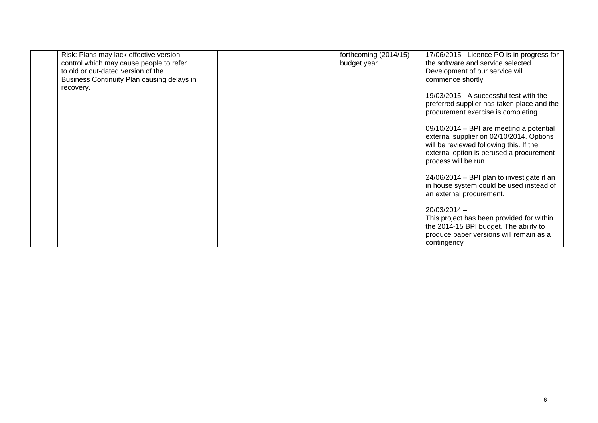| Risk: Plans may lack effective version     |  | forthcoming (2014/15) | 17/06/2015 - Licence PO is in progress for                                                                                                                                                          |
|--------------------------------------------|--|-----------------------|-----------------------------------------------------------------------------------------------------------------------------------------------------------------------------------------------------|
| control which may cause people to refer    |  | budget year.          | the software and service selected.                                                                                                                                                                  |
| to old or out-dated version of the         |  |                       | Development of our service will                                                                                                                                                                     |
| Business Continuity Plan causing delays in |  |                       | commence shortly                                                                                                                                                                                    |
| recovery.                                  |  |                       |                                                                                                                                                                                                     |
|                                            |  |                       | 19/03/2015 - A successful test with the<br>preferred supplier has taken place and the<br>procurement exercise is completing                                                                         |
|                                            |  |                       | 09/10/2014 - BPI are meeting a potential<br>external supplier on 02/10/2014. Options<br>will be reviewed following this. If the<br>external option is perused a procurement<br>process will be run. |
|                                            |  |                       | 24/06/2014 – BPI plan to investigate if an<br>in house system could be used instead of<br>an external procurement.                                                                                  |
|                                            |  |                       | $20/03/2014 -$<br>This project has been provided for within<br>the 2014-15 BPI budget. The ability to<br>produce paper versions will remain as a<br>contingency                                     |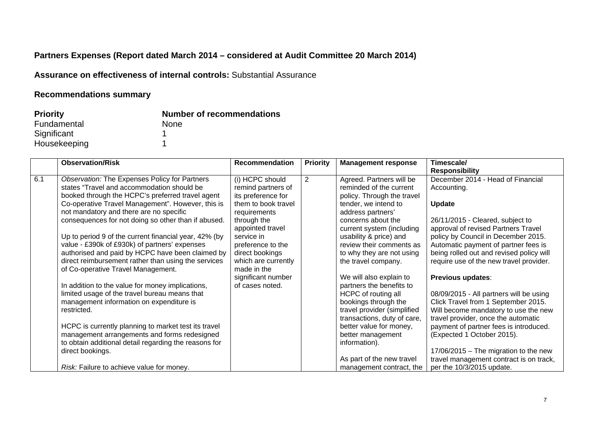# **Partners Expenses (Report dated March 2014 – considered at Audit Committee 20 March 2014)**

**Assurance on effectiveness of internal controls:** Substantial Assurance

# **Recommendations summary**

| <b>Priority</b> | <b>Number of recommendations</b> |
|-----------------|----------------------------------|
| Fundamental     | <b>None</b>                      |
| Significant     |                                  |
| Housekeeping    |                                  |

| <b>Observation/Risk</b>                          | <b>Recommendation</b>                                                                                                                                                                                                                                                                                                                                                                                                                                                                                                                                                                                                                                                                                                                                                                                                                                          | <b>Priority</b>                                                                                                                                                                                                                   | <b>Management response</b> | Timescale/                                                                                                                                                                                                                                                                                                                                                                                                                                                                                           |
|--------------------------------------------------|----------------------------------------------------------------------------------------------------------------------------------------------------------------------------------------------------------------------------------------------------------------------------------------------------------------------------------------------------------------------------------------------------------------------------------------------------------------------------------------------------------------------------------------------------------------------------------------------------------------------------------------------------------------------------------------------------------------------------------------------------------------------------------------------------------------------------------------------------------------|-----------------------------------------------------------------------------------------------------------------------------------------------------------------------------------------------------------------------------------|----------------------------|------------------------------------------------------------------------------------------------------------------------------------------------------------------------------------------------------------------------------------------------------------------------------------------------------------------------------------------------------------------------------------------------------------------------------------------------------------------------------------------------------|
|                                                  |                                                                                                                                                                                                                                                                                                                                                                                                                                                                                                                                                                                                                                                                                                                                                                                                                                                                |                                                                                                                                                                                                                                   |                            | <b>Responsibility</b>                                                                                                                                                                                                                                                                                                                                                                                                                                                                                |
| Observation: The Expenses Policy for Partners    | (i) HCPC should                                                                                                                                                                                                                                                                                                                                                                                                                                                                                                                                                                                                                                                                                                                                                                                                                                                | 2                                                                                                                                                                                                                                 | Agreed. Partners will be   | December 2014 - Head of Financial                                                                                                                                                                                                                                                                                                                                                                                                                                                                    |
|                                                  | remind partners of                                                                                                                                                                                                                                                                                                                                                                                                                                                                                                                                                                                                                                                                                                                                                                                                                                             |                                                                                                                                                                                                                                   | reminded of the current    | Accounting.                                                                                                                                                                                                                                                                                                                                                                                                                                                                                          |
| booked through the HCPC's preferred travel agent |                                                                                                                                                                                                                                                                                                                                                                                                                                                                                                                                                                                                                                                                                                                                                                                                                                                                |                                                                                                                                                                                                                                   | policy. Through the travel |                                                                                                                                                                                                                                                                                                                                                                                                                                                                                                      |
|                                                  |                                                                                                                                                                                                                                                                                                                                                                                                                                                                                                                                                                                                                                                                                                                                                                                                                                                                |                                                                                                                                                                                                                                   |                            | <b>Update</b>                                                                                                                                                                                                                                                                                                                                                                                                                                                                                        |
|                                                  |                                                                                                                                                                                                                                                                                                                                                                                                                                                                                                                                                                                                                                                                                                                                                                                                                                                                |                                                                                                                                                                                                                                   |                            |                                                                                                                                                                                                                                                                                                                                                                                                                                                                                                      |
|                                                  |                                                                                                                                                                                                                                                                                                                                                                                                                                                                                                                                                                                                                                                                                                                                                                                                                                                                |                                                                                                                                                                                                                                   |                            | 26/11/2015 - Cleared, subject to                                                                                                                                                                                                                                                                                                                                                                                                                                                                     |
|                                                  |                                                                                                                                                                                                                                                                                                                                                                                                                                                                                                                                                                                                                                                                                                                                                                                                                                                                |                                                                                                                                                                                                                                   |                            | approval of revised Partners Travel                                                                                                                                                                                                                                                                                                                                                                                                                                                                  |
|                                                  |                                                                                                                                                                                                                                                                                                                                                                                                                                                                                                                                                                                                                                                                                                                                                                                                                                                                |                                                                                                                                                                                                                                   |                            | policy by Council in December 2015.                                                                                                                                                                                                                                                                                                                                                                                                                                                                  |
|                                                  |                                                                                                                                                                                                                                                                                                                                                                                                                                                                                                                                                                                                                                                                                                                                                                                                                                                                |                                                                                                                                                                                                                                   |                            | Automatic payment of partner fees is                                                                                                                                                                                                                                                                                                                                                                                                                                                                 |
|                                                  |                                                                                                                                                                                                                                                                                                                                                                                                                                                                                                                                                                                                                                                                                                                                                                                                                                                                |                                                                                                                                                                                                                                   |                            | being rolled out and revised policy will                                                                                                                                                                                                                                                                                                                                                                                                                                                             |
|                                                  |                                                                                                                                                                                                                                                                                                                                                                                                                                                                                                                                                                                                                                                                                                                                                                                                                                                                |                                                                                                                                                                                                                                   |                            | require use of the new travel provider.                                                                                                                                                                                                                                                                                                                                                                                                                                                              |
|                                                  |                                                                                                                                                                                                                                                                                                                                                                                                                                                                                                                                                                                                                                                                                                                                                                                                                                                                |                                                                                                                                                                                                                                   |                            |                                                                                                                                                                                                                                                                                                                                                                                                                                                                                                      |
|                                                  |                                                                                                                                                                                                                                                                                                                                                                                                                                                                                                                                                                                                                                                                                                                                                                                                                                                                |                                                                                                                                                                                                                                   |                            | Previous updates:                                                                                                                                                                                                                                                                                                                                                                                                                                                                                    |
|                                                  |                                                                                                                                                                                                                                                                                                                                                                                                                                                                                                                                                                                                                                                                                                                                                                                                                                                                |                                                                                                                                                                                                                                   |                            |                                                                                                                                                                                                                                                                                                                                                                                                                                                                                                      |
|                                                  |                                                                                                                                                                                                                                                                                                                                                                                                                                                                                                                                                                                                                                                                                                                                                                                                                                                                |                                                                                                                                                                                                                                   |                            | 08/09/2015 - All partners will be using                                                                                                                                                                                                                                                                                                                                                                                                                                                              |
|                                                  |                                                                                                                                                                                                                                                                                                                                                                                                                                                                                                                                                                                                                                                                                                                                                                                                                                                                |                                                                                                                                                                                                                                   |                            | Click Travel from 1 September 2015.                                                                                                                                                                                                                                                                                                                                                                                                                                                                  |
|                                                  |                                                                                                                                                                                                                                                                                                                                                                                                                                                                                                                                                                                                                                                                                                                                                                                                                                                                |                                                                                                                                                                                                                                   |                            | Will become mandatory to use the new                                                                                                                                                                                                                                                                                                                                                                                                                                                                 |
|                                                  |                                                                                                                                                                                                                                                                                                                                                                                                                                                                                                                                                                                                                                                                                                                                                                                                                                                                |                                                                                                                                                                                                                                   |                            | travel provider, once the automatic                                                                                                                                                                                                                                                                                                                                                                                                                                                                  |
|                                                  |                                                                                                                                                                                                                                                                                                                                                                                                                                                                                                                                                                                                                                                                                                                                                                                                                                                                |                                                                                                                                                                                                                                   |                            | payment of partner fees is introduced.<br>(Expected 1 October 2015).                                                                                                                                                                                                                                                                                                                                                                                                                                 |
|                                                  |                                                                                                                                                                                                                                                                                                                                                                                                                                                                                                                                                                                                                                                                                                                                                                                                                                                                |                                                                                                                                                                                                                                   |                            |                                                                                                                                                                                                                                                                                                                                                                                                                                                                                                      |
|                                                  |                                                                                                                                                                                                                                                                                                                                                                                                                                                                                                                                                                                                                                                                                                                                                                                                                                                                |                                                                                                                                                                                                                                   |                            | 17/06/2015 - The migration to the new                                                                                                                                                                                                                                                                                                                                                                                                                                                                |
|                                                  |                                                                                                                                                                                                                                                                                                                                                                                                                                                                                                                                                                                                                                                                                                                                                                                                                                                                |                                                                                                                                                                                                                                   |                            | travel management contract is on track,                                                                                                                                                                                                                                                                                                                                                                                                                                                              |
|                                                  |                                                                                                                                                                                                                                                                                                                                                                                                                                                                                                                                                                                                                                                                                                                                                                                                                                                                |                                                                                                                                                                                                                                   |                            | per the 10/3/2015 update.                                                                                                                                                                                                                                                                                                                                                                                                                                                                            |
|                                                  | states "Travel and accommodation should be<br>Co-operative Travel Management". However, this is<br>not mandatory and there are no specific<br>consequences for not doing so other than if abused.<br>Up to period 9 of the current financial year, 42% (by<br>value - £390k of £930k) of partners' expenses<br>authorised and paid by HCPC have been claimed by<br>direct reimbursement rather than using the services<br>of Co-operative Travel Management.<br>In addition to the value for money implications,<br>limited usage of the travel bureau means that<br>management information on expenditure is<br>restricted.<br>HCPC is currently planning to market test its travel<br>management arrangements and forms redesigned<br>to obtain additional detail regarding the reasons for<br>direct bookings.<br>Risk: Failure to achieve value for money. | its preference for<br>them to book travel<br>requirements<br>through the<br>appointed travel<br>service in<br>preference to the<br>direct bookings<br>which are currently<br>made in the<br>significant number<br>of cases noted. |                            | tender, we intend to<br>address partners'<br>concerns about the<br>current system (including<br>usability & price) and<br>review their comments as<br>to why they are not using<br>the travel company.<br>We will also explain to<br>partners the benefits to<br>HCPC of routing all<br>bookings through the<br>travel provider (simplified<br>transactions, duty of care,<br>better value for money,<br>better management<br>information).<br>As part of the new travel<br>management contract, the |